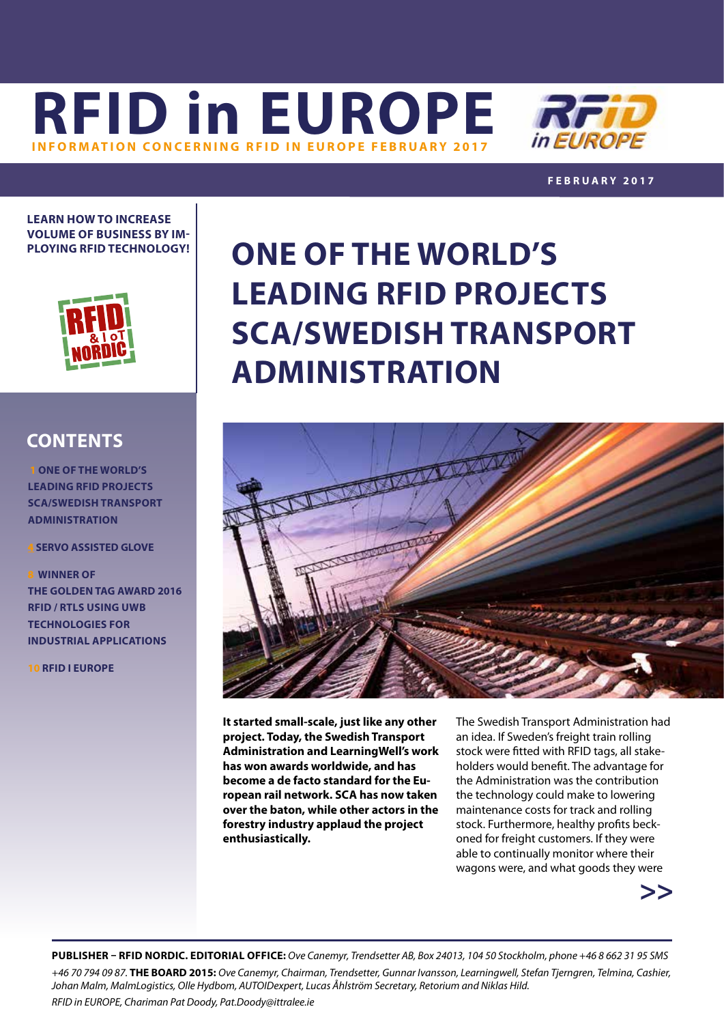**[RFID in EUROPE](http://www.rfidnordic.org) INFORMATION CONCERNING RFID IN EUROPE FEBRUARY** 



**FEBRUARY 2017**

**LEARN HOW TO INCREASE VOLUME OF BUSINESS BY IM-PLOYING RFID TECHNOLOGY!**



## **CONTENTS**

 **1 ONE OF THE WORLD'S LEADING RFID PROJECTS SCA/SWEDISH TRANSPORT ADMINISTRATION**

**4 [S](#page-3-0)ERVO ASSISTED GLOVE**

**8WINNER OF THE GOLDEN TAG AWARD 2016 RFID / RTLS USING UWB TECHNOLOGIES FOR INDUSTRIAL APPLICATIONS**

**10 RFID I EUROPE**

## **ONE OF THE WORLD'S LEADING RFID PROJECTS SCA/SWEDISH TRANSPORT ADMINISTRATION**



**It started small-scale, just like any other project. Today, the Swedish Transport Administration and LearningWell's work has won awards worldwide, and has become a de facto standard for the European rail network. SCA has now taken over the baton, while other actors in the forestry industry applaud the project enthusiastically.**

The Swedish Transport Administration had an idea. If Sweden's freight train rolling stock were fitted with RFID tags, all stakeholders would benefit. The advantage for the Administration was the contribution the technology could make to lowering maintenance costs for track and rolling stock. Furthermore, healthy profits beckoned for freight customers. If they were able to continually monitor where their wagons were, and what goods they were



**PUBLISHER – RFID NORDIC. EDITORIAL OFFICE:** *Ove Canemyr, Trendsetter AB, Box 24013, 104 50 Stockholm, phone +46 8 662 31 95 SMS +46 70 794 09 87.* **THE BOARD 2015:** *Ove Canemyr, Chairman, Trendsetter, Gunnar Ivansson, Learningwell, Stefan Tjerngren, Telmina, Cashier, Johan Malm, MalmLogistics, Olle Hydbom, AUTOIDexpert, Lucas Åhlström Secretary, Retorium and Niklas Hild. RFID in EUROPE, Chariman Pat Doody, [Pat.Doody@ittralee.ie](mailto:pat.doody@ittralee.ie )*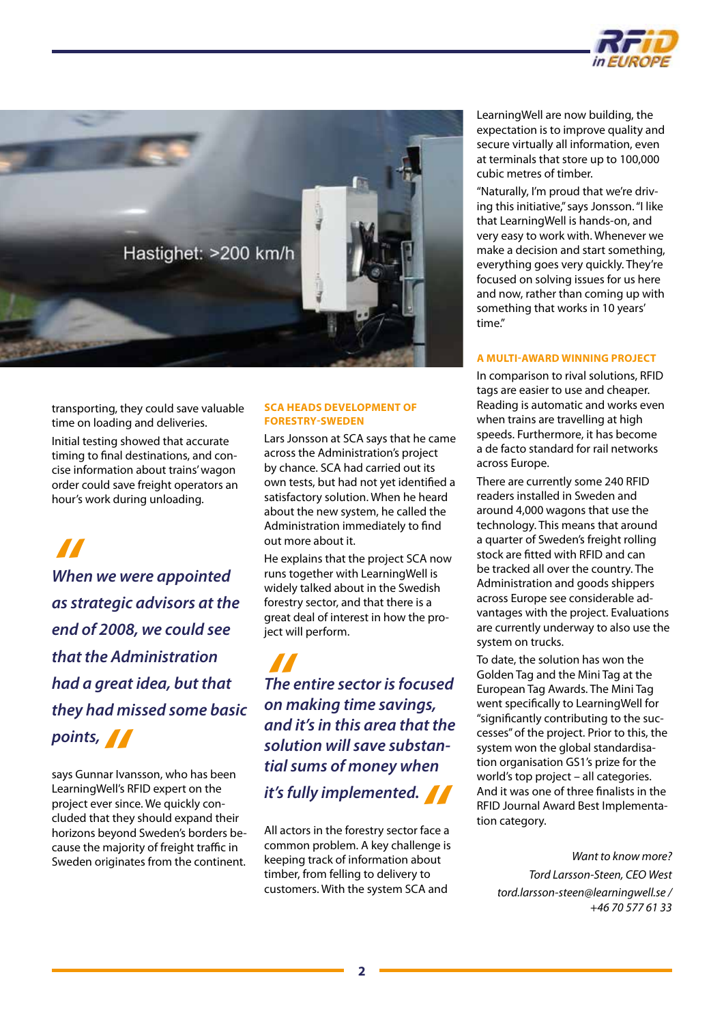



transporting, they could save valuable time on loading and deliveries.

Initial testing showed that accurate timing to final destinations, and concise information about trains' wagon order could save freight operators an hour's work during unloading.

*Whe When we were appointed as strategic advisors at the end of 2008, we could see that the Administration had a great idea, but that they had missed some basic* 

**points,<br><sub>Says Gunnar Iva<br>LearningWell's I**</sub> says Gunnar Ivansson, who has been LearningWell's RFID expert on the project ever since. We quickly concluded that they should expand their horizons beyond Sweden's borders because the majority of freight traffic in Sweden originates from the continent.

#### **SCA HEADS DEVELOPMENT OF FORESTRY-SWEDEN**

Lars Jonsson at SCA says that he came across the Administration's project by chance. SCA had carried out its own tests, but had not yet identified a satisfactory solution. When he heard about the new system, he called the Administration immediately to find out more about it.

He explains that the project SCA now runs together with LearningWell is widely talked about in the Swedish forestry sector, and that there is a great deal of interest in how the project will perform.

*" on making time savings, The entire sector is focused and it's in this area that the solution will save substantial sums of money when* 

*it's fully implemented.***<br>All actors in the forestry sector face a<br>common problem. A key challenge is** All actors in the forestry sector face a common problem. A key challenge is keeping track of information about timber, from felling to delivery to customers. With the system SCA and

LearningWell are now building, the expectation is to improve quality and secure virtually all information, even at terminals that store up to 100,000 cubic metres of timber.

"Naturally, I'm proud that we're driving this initiative," says Jonsson. "I like that LearningWell is hands-on, and very easy to work with. Whenever we make a decision and start something, everything goes very quickly. They're focused on solving issues for us here and now, rather than coming up with something that works in 10 years' time."

#### **A MULTI-AWARD WINNING PROJECT**

In comparison to rival solutions, RFID tags are easier to use and cheaper. Reading is automatic and works even when trains are travelling at high speeds. Furthermore, it has become a de facto standard for rail networks across Europe.

There are currently some 240 RFID readers installed in Sweden and around 4,000 wagons that use the technology. This means that around a quarter of Sweden's freight rolling stock are fitted with RFID and can be tracked all over the country. The Administration and goods shippers across Europe see considerable advantages with the project. Evaluations are currently underway to also use the system on trucks.

To date, the solution has won the Golden Tag and the Mini Tag at the European Tag Awards. The Mini Tag went specifically to LearningWell for "significantly contributing to the successes" of the project. Prior to this, the system won the global standardisation organisation GS1's prize for the world's top project – all categories. And it was one of three finalists in the RFID Journal Award Best Implementation category.

*Want to know more? Tord Larsson-Steen, CEO West [tord.larsson-steen@learningwell.se](mailto:tord.larsson-steen@learningwell.se) / +46 70 577 61 33*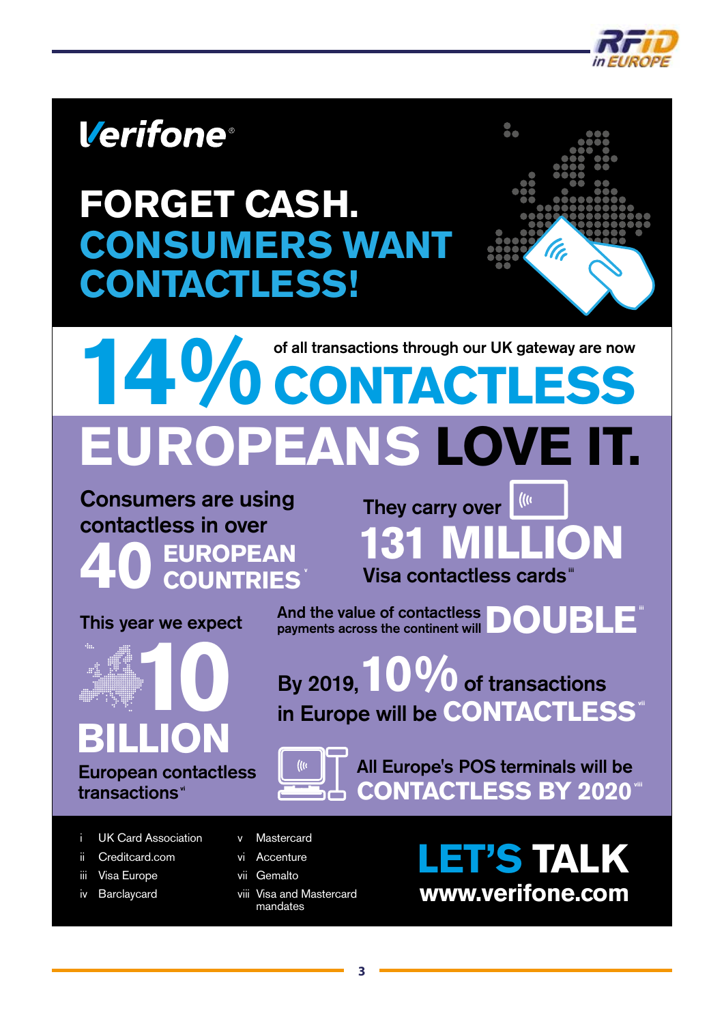

## **Verifone**®

# **FORGET CASH. CONSUMERS WANT CONTACTLESS!**



# **PEANS LOVE IT.** of all transactions through our UK gateway are now **1 CONTACTLESS**

Consumers are using contactless in over **EUROPEAN<br>COUNTRIES** 

This year we expect **BILLION 10**

European contactless transactions"

 $\mathcal{L}(\mathcal{U})$ They carry over **131 MILLION** Visa contactless cards<sup>"</sup>

And the value of contactless **DOUBLE**<sup>"</sup><br>payments across the continent will

By 2019,**10%**of transactions in Europe will be **CONTACTLESS** 



All Europe's POS terminals will be **CONTACTLESS BY 2020<sup>\*</sup>** 

- UK Card Association
- ii Creditcard.com
- iii Visa Europe
- iv Barclaycard
- v Mastercard
- vi Accenture
- vii Gemalto
- viii Visa and Mastercard mandates

**LET'S TALK www.verifone.com**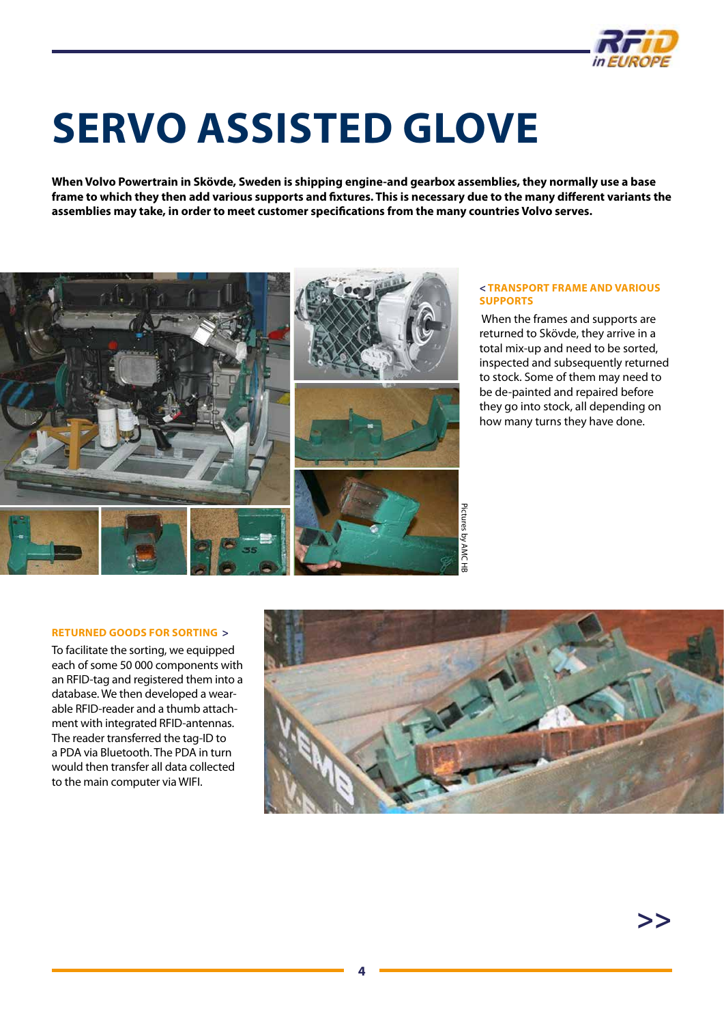

# <span id="page-3-0"></span>**SERVO ASSISTED GLOVE**

**When Volvo Powertrain in Skövde, Sweden is shipping engine-and gearbox assemblies, they normally use a base frame to which they then add various supports and fixtures. This is necessary due to the many different variants the assemblies may take, in order to meet customer specifications from the many countries Volvo serves.**



#### **< TRANSPORT FRAME AND VARIOUS SUPPORTS**

 When the frames and supports are returned to Skövde, they arrive in a total mix-up and need to be sorted, inspected and subsequently returned to stock. Some of them may need to be de-painted and repaired before they go into stock, all depending on how many turns they have done.

#### **RETURNED GOODS FOR SORTING >**

To facilitate the sorting, we equipped each of some 50 000 components with an RFID-tag and registered them into a database. We then developed a wearable RFID-reader and a thumb attachment with integrated RFID-antennas. The reader transferred the tag-ID to a PDA via Bluetooth. The PDA in turn would then transfer all data collected to the main computer via WIFI.

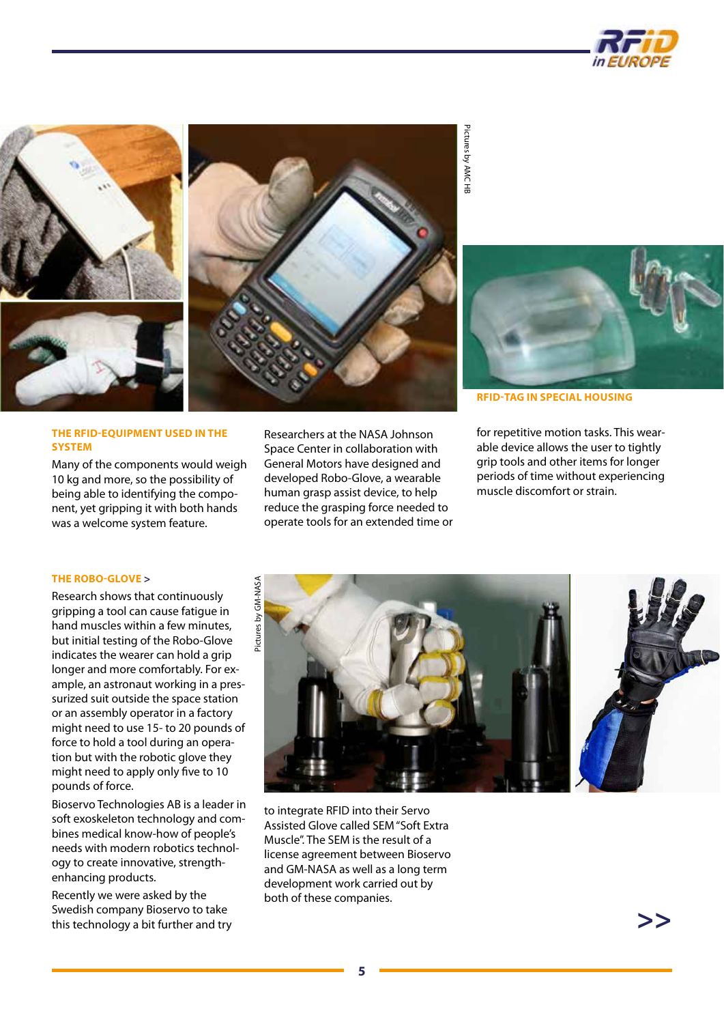





#### **THE RFID-EQUIPMENT USED IN THE SYSTEM**

Many of the components would weigh 10 kg and more, so the possibility of being able to identifying the component, yet gripping it with both hands was a welcome system feature.

Researchers at the NASA Johnson Space Center in collaboration with General Motors have designed and developed Robo-Glove, a wearable human grasp assist device, to help reduce the grasping force needed to operate tools for an extended time or

Pictures by AMC HB

Pictures by AMC HE



**RFID-TAG IN SPECIAL HOUSING**

for repetitive motion tasks. This wearable device allows the user to tightly grip tools and other items for longer periods of time without experiencing muscle discomfort or strain.

#### **THE ROBO-GLOVE >**

Research shows that continuously gripping a tool can cause fatigue in hand muscles within a few minutes, but initial testing of the Robo-Glove indicates the wearer can hold a grip longer and more comfortably. For example, an astronaut working in a pressurized suit outside the space station or an assembly operator in a factory might need to use 15- to 20 pounds of force to hold a tool during an operation but with the robotic glove they might need to apply only five to 10 pounds of force.

Bioservo Technologies AB is a leader in soft exoskeleton technology and combines medical know-how of people's needs with modern robotics technology to create innovative, strengthenhancing products.

Recently we were asked by the Swedish company Bioservo to take this technology a bit further and try



to integrate RFID into their Servo Assisted Glove called SEM "Soft Extra Muscle". The SEM is the result of a license agreement between Bioservo and GM-NASA as well as a long term development work carried out by both of these companies.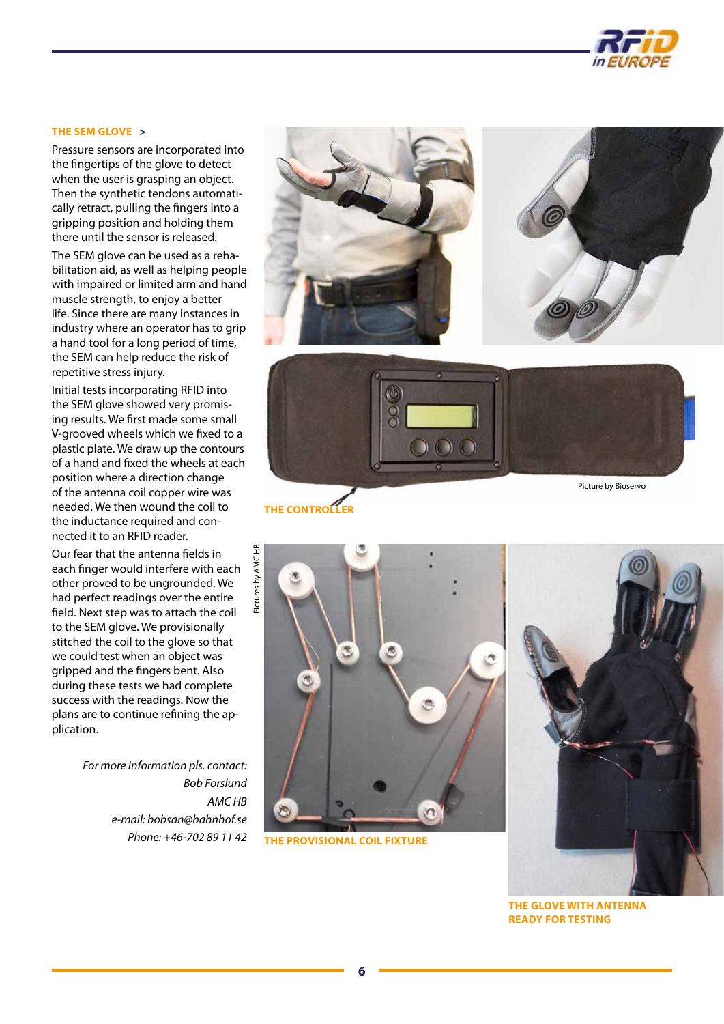

#### **THE SEM GLOVE >**

Pressure sensors are incorporated into the fingertips of the glove to detect when the user is grasping an object. Then the synthetic tendons automatically retract, pulling the fingers into a gripping position and holding them there until the sensor is released.

The SEM glove can be used as a rehabilitation aid, as well as helping people with impaired or limited arm and hand muscle strength, to enjoy a better life. Since there are many instances in industry where an operator has to grip a hand tool for a long period of time, the SEM can help reduce the risk of repetitive stress injury.

Initial tests incorporating RFID into the SEM glove showed very promising results. We first made some small V-grooved wheels which we fixed to a plastic plate. We draw up the contours of a hand and fixed the wheels at each position where a direction change of the antenna coil copper wire was needed. We then wound the coil to the inductance required and connected it to an RFID reader.

Our fear that the antenna fields in each finger would interfere with each other proved to be ungrounded. We had perfect readings over the entire field. Next step was to attach the coil to the SEM glove. We provisionally stitched the coil to the glove so that we could test when an object was gripped and the fingers bent. Also during these tests we had complete success with the readings. Now the plans are to continue refining the application.

> *For more information pls. contact: Bob Forslund AMC HB e-mail: [bobsan@bahnhof.se](mailto:bobsan@bahnhof.se) Phone: +46-702 89 11 42*



**THE CONTROLLER**



**THE PROVISIONAL COIL FIXTURE**



**THE GLOVE WITH ANTENNA READY FOR TESTING**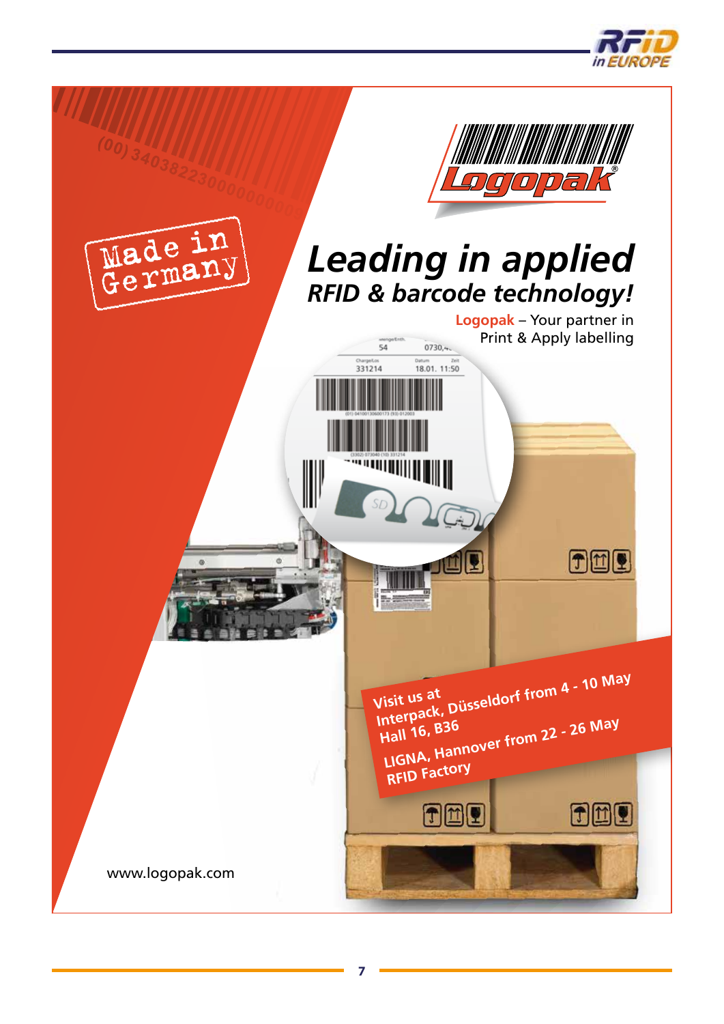

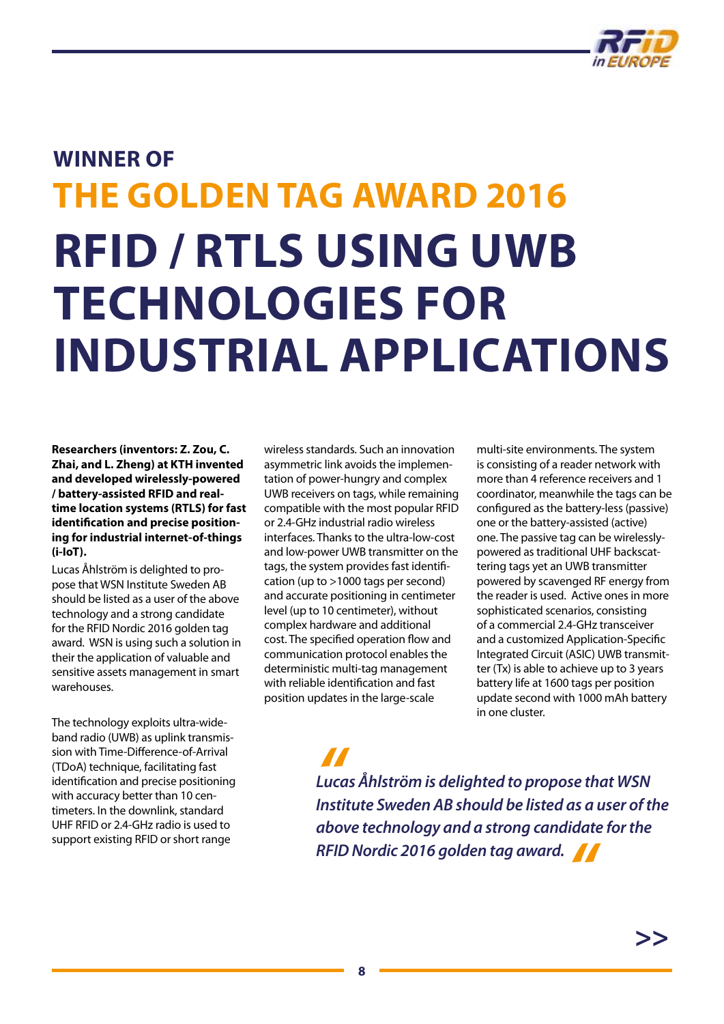

# <span id="page-7-0"></span>**WINNER OF THE GOLDEN TAG AWARD 2016 RFID / RTLS USING UWB TECHNOLOGIES FOR INDUSTRIAL APPLICATIONS**

 **Researchers (inventors: Z. Zou, C. Zhai, and L. Zheng) at KTH invented and developed wirelessly-powered / battery-assisted RFID and realtime location systems (RTLS) for fast identification and precise positioning for industrial internet-of-things (i-IoT).** 

Lucas Åhlström is delighted to propose that WSN Institute Sweden AB should be listed as a user of the above technology and a strong candidate for the RFID Nordic 2016 golden tag award. WSN is using such a solution in their the application of valuable and sensitive assets management in smart warehouses.

The technology exploits ultra-wideband radio (UWB) as uplink transmission with Time-Difference-of-Arrival (TDoA) technique, facilitating fast identification and precise positioning with accuracy better than 10 centimeters. In the downlink, standard UHF RFID or 2.4-GHz radio is used to support existing RFID or short range

wireless standards. Such an innovation asymmetric link avoids the implementation of power-hungry and complex UWB receivers on tags, while remaining compatible with the most popular RFID or 2.4-GHz industrial radio wireless interfaces. Thanks to the ultra-low-cost and low-power UWB transmitter on the tags, the system provides fast identification (up to >1000 tags per second) and accurate positioning in centimeter level (up to 10 centimeter), without complex hardware and additional cost. The specified operation flow and communication protocol enables the deterministic multi-tag management with reliable identification and fast position updates in the large-scale

multi-site environments. The system is consisting of a reader network with more than 4 reference receivers and 1 coordinator, meanwhile the tags can be configured as the battery-less (passive) one or the battery-assisted (active) one. The passive tag can be wirelesslypowered as traditional UHF backscattering tags yet an UWB transmitter powered by scavenged RF energy from the reader is used. Active ones in more sophisticated scenarios, consisting of a commercial 2.4-GHz transceiver and a customized Application-Specific Integrated Circuit (ASIC) UWB transmitter (Tx) is able to achieve up to 3 years battery life at 1600 tags per position update second with 1000 mAh battery in one cluster.

*<u>|</u>|<br>Lucd<br>Insti Lucas Åhlström is delighted to propose that WSN Institute Sweden AB should be listed as a user of the above technology and a strong candidate for the RFID Nordic 2016 golden tag award."*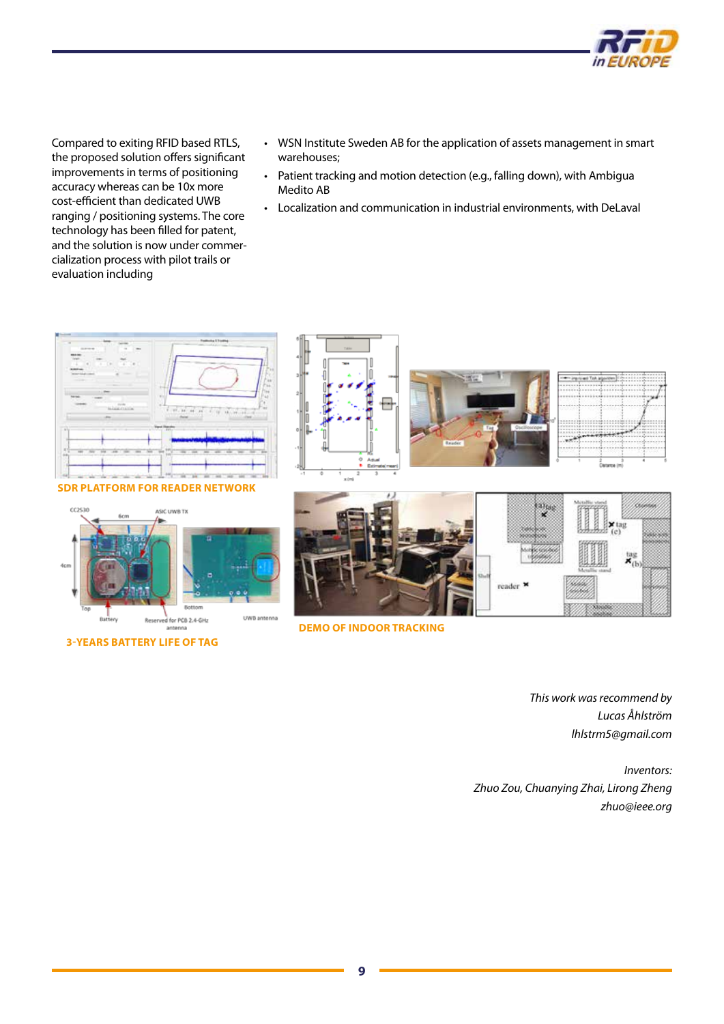

Compared to exiting RFID based RTLS, the proposed solution offers significant improvements in terms of positioning accuracy whereas can be 10x more cost-efficient than dedicated UWB ranging / positioning systems. The core technology has been filled for patent, and the solution is now under commercialization process with pilot trails or evaluation including

- WSN Institute Sweden AB for the application of assets management in smart warehouses;
- Patient tracking and motion detection (e.g., falling down), with Ambigua Medito AB
- Localization and communication in industrial environments, with DeLaval



#### **SDR PLATFORM FOR READER NETWORK**



**3-YEARS BATTERY LIFE OF TAG**





**DEMO OF INDOOR TRACKING**

*This work was recommend by Lucas Åhlström [lhlstrm5@gmail.com](mailto:lhlstrm5@gmail.com)*

*Inventors: Zhuo Zou, Chuanying Zhai, Lirong Zheng [zhuo@ieee.org](mailto:zhuo@ieee.org)*